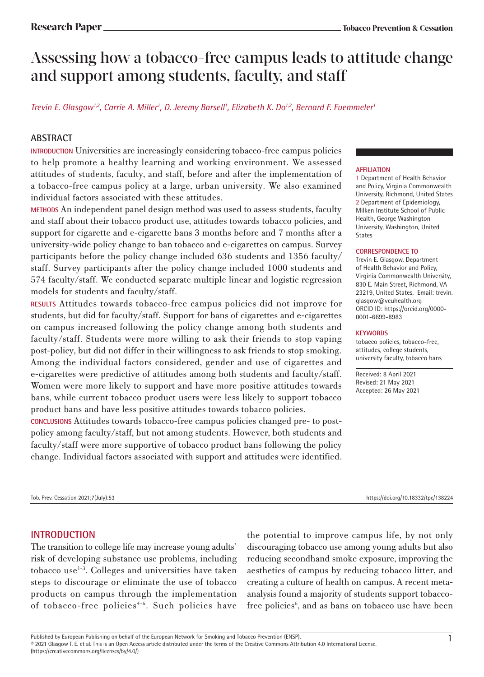# Assessing how a tobacco-free campus leads to attitude change and support among students, faculty, and staff

*Trevin E. Glasgow1,2, Carrie A. Miller1 , D. Jeremy Barsell1 , Elizabeth K. Do1,2, Bernard F. Fuemmeler1*

# **ABSTRACT**

**INTRODUCTION** Universities are increasingly considering tobacco-free campus policies to help promote a healthy learning and working environment. We assessed attitudes of students, faculty, and staff, before and after the implementation of a tobacco-free campus policy at a large, urban university. We also examined individual factors associated with these attitudes.

**METHODS** An independent panel design method was used to assess students, faculty and staff about their tobacco product use, attitudes towards tobacco policies, and support for cigarette and e-cigarette bans 3 months before and 7 months after a university-wide policy change to ban tobacco and e-cigarettes on campus. Survey participants before the policy change included 636 students and 1356 faculty/ staff. Survey participants after the policy change included 1000 students and 574 faculty/staff. We conducted separate multiple linear and logistic regression models for students and faculty/staff.

**RESULTS** Attitudes towards tobacco-free campus policies did not improve for students, but did for faculty/staff. Support for bans of cigarettes and e-cigarettes on campus increased following the policy change among both students and faculty/staff. Students were more willing to ask their friends to stop vaping post-policy, but did not differ in their willingness to ask friends to stop smoking. Among the individual factors considered, gender and use of cigarettes and e-cigarettes were predictive of attitudes among both students and faculty/staff. Women were more likely to support and have more positive attitudes towards bans, while current tobacco product users were less likely to support tobacco product bans and have less positive attitudes towards tobacco policies.

**CONCLUSIONS** Attitudes towards tobacco-free campus policies changed pre- to postpolicy among faculty/staff, but not among students. However, both students and faculty/staff were more supportive of tobacco product bans following the policy change. Individual factors associated with support and attitudes were identified.

#### **AFFILIATION**

1 Department of Health Behavior and Policy, Virginia Commonwealth University, Richmond, United States 2 Department of Epidemiology, Milken Institute School of Public Health, George Washington University, Washington, United States

#### **CORRESPONDENCE TO**

Trevin E. Glasgow. Department of Health Behavior and Policy, Virginia Commonwealth University, 830 E. Main Street, Richmond, VA 23219, United States. Email: trevin. glasgow@vcuhealth.org ORCID ID: https://orcid.org/0000- 0001-6699-8983

#### **KEYWORDS**

tobacco policies, tobacco-free, attitudes, college students, university faculty, tobacco bans

Received: 8 April 2021 Revised: 21 May 2021 Accepted: 26 May 2021

Tob. Prev. Cessation 2021;7(July):53 https://doi.org/10.18332/tpc/138224

# **INTRODUCTION**

The transition to college life may increase young adults' risk of developing substance use problems, including tobacco use $^{1-3}$ . Colleges and universities have taken steps to discourage or eliminate the use of tobacco products on campus through the implementation of tobacco-free policies<sup>4-6</sup>. Such policies have

the potential to improve campus life, by not only discouraging tobacco use among young adults but also reducing secondhand smoke exposure, improving the aesthetics of campus by reducing tobacco litter, and creating a culture of health on campus. A recent metaanalysis found a majority of students support tobaccofree policies<sup>6</sup>, and as bans on tobacco use have been

Published by European Publishing on behalf of the European Network for Smoking and Tobacco Prevention (ENSP).<br>© 2021 Glasgow T. E. et al. This is an Open Access article distributed under the terms of the Creative Commons (https://creativecommons.org/licenses/by/4.0/)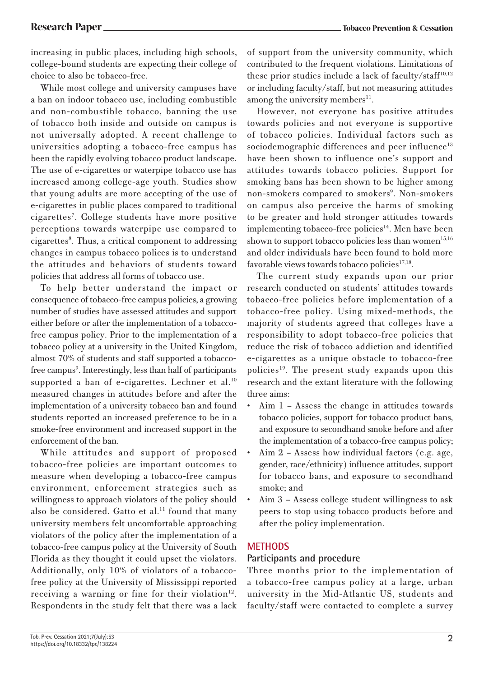increasing in public places, including high schools, college-bound students are expecting their college of choice to also be tobacco-free.

While most college and university campuses have a ban on indoor tobacco use, including combustible and non-combustible tobacco, banning the use of tobacco both inside and outside on campus is not universally adopted. A recent challenge to universities adopting a tobacco-free campus has been the rapidly evolving tobacco product landscape. The use of e-cigarettes or waterpipe tobacco use has increased among college-age youth. Studies show that young adults are more accepting of the use of e-cigarettes in public places compared to traditional cigarettes7 . College students have more positive perceptions towards waterpipe use compared to cigarettes<sup>8</sup>. Thus, a critical component to addressing changes in campus tobacco polices is to understand the attitudes and behaviors of students toward policies that address all forms of tobacco use.

To help better understand the impact or consequence of tobacco-free campus policies, a growing number of studies have assessed attitudes and support either before or after the implementation of a tobaccofree campus policy. Prior to the implementation of a tobacco policy at a university in the United Kingdom, almost 70% of students and staff supported a tobaccofree campus<sup>9</sup>. Interestingly, less than half of participants supported a ban of e-cigarettes. Lechner et al. $10$ measured changes in attitudes before and after the implementation of a university tobacco ban and found students reported an increased preference to be in a smoke-free environment and increased support in the enforcement of the ban.

While attitudes and support of proposed tobacco-free policies are important outcomes to measure when developing a tobacco-free campus environment, enforcement strategies such as willingness to approach violators of the policy should also be considered. Gatto et al.<sup>11</sup> found that many university members felt uncomfortable approaching violators of the policy after the implementation of a tobacco-free campus policy at the University of South Florida as they thought it could upset the violators. Additionally, only 10% of violators of a tobaccofree policy at the University of Mississippi reported receiving a warning or fine for their violation $12$ . Respondents in the study felt that there was a lack

of support from the university community, which contributed to the frequent violations. Limitations of these prior studies include a lack of faculty/staff<sup>10,12</sup> or including faculty/staff, but not measuring attitudes among the university members $^{11}$ .

However, not everyone has positive attitudes towards policies and not everyone is supportive of tobacco policies. Individual factors such as sociodemographic differences and peer influence<sup>13</sup> have been shown to influence one's support and attitudes towards tobacco policies. Support for smoking bans has been shown to be higher among non-smokers compared to smokers<sup>9</sup>. Non-smokers on campus also perceive the harms of smoking to be greater and hold stronger attitudes towards implementing tobacco-free policies $14$ . Men have been shown to support tobacco policies less than women<sup>15,16</sup> and older individuals have been found to hold more favorable views towards tobacco policies $17,18$ .

The current study expands upon our prior research conducted on students' attitudes towards tobacco-free policies before implementation of a tobacco-free policy. Using mixed-methods, the majority of students agreed that colleges have a responsibility to adopt tobacco-free policies that reduce the risk of tobacco addiction and identified e-cigarettes as a unique obstacle to tobacco-free policies<sup>19</sup>. The present study expands upon this research and the extant literature with the following three aims:

- Aim 1 Assess the change in attitudes towards tobacco policies, support for tobacco product bans, and exposure to secondhand smoke before and after the implementation of a tobacco-free campus policy;
- Aim  $2 -$  Assess how individual factors (e.g. age, gender, race/ethnicity) influence attitudes, support for tobacco bans, and exposure to secondhand smoke; and
- Aim 3 Assess college student willingness to ask peers to stop using tobacco products before and after the policy implementation.

# **METHODS**

# **Participants and procedure**

Three months prior to the implementation of a tobacco-free campus policy at a large, urban university in the Mid-Atlantic US, students and faculty/staff were contacted to complete a survey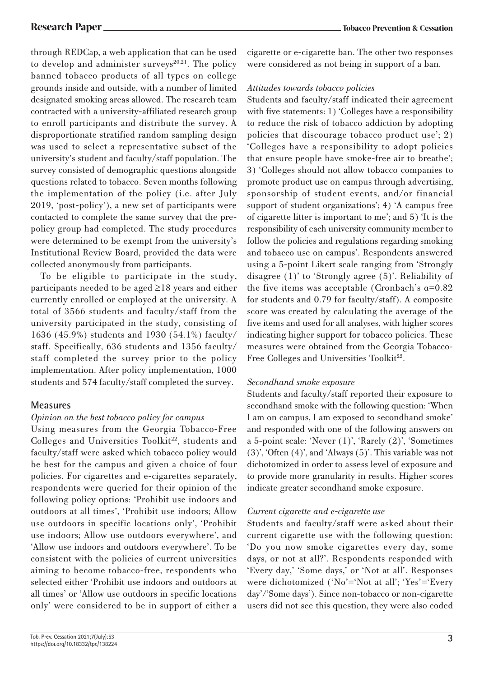through REDCap, a web application that can be used to develop and administer surveys $20,21$ . The policy banned tobacco products of all types on college grounds inside and outside, with a number of limited designated smoking areas allowed. The research team contracted with a university-affiliated research group to enroll participants and distribute the survey. A disproportionate stratified random sampling design was used to select a representative subset of the university's student and faculty/staff population. The survey consisted of demographic questions alongside questions related to tobacco. Seven months following the implementation of the policy (i.e. after July 2019, 'post-policy'), a new set of participants were contacted to complete the same survey that the prepolicy group had completed. The study procedures were determined to be exempt from the university's Institutional Review Board, provided the data were collected anonymously from participants.

To be eligible to participate in the study, participants needed to be aged ≥18 years and either currently enrolled or employed at the university. A total of 3566 students and faculty/staff from the university participated in the study, consisting of 1636 (45.9%) students and 1930 (54.1%) faculty/ staff. Specifically, 636 students and 1356 faculty/ staff completed the survey prior to the policy implementation. After policy implementation, 1000 students and 574 faculty/staff completed the survey.

# **Measures**

### *Opinion on the best tobacco policy for campus*

Using measures from the Georgia Tobacco-Free Colleges and Universities Toolkit<sup>22</sup>, students and faculty/staff were asked which tobacco policy would be best for the campus and given a choice of four policies. For cigarettes and e-cigarettes separately, respondents were queried for their opinion of the following policy options: 'Prohibit use indoors and outdoors at all times', 'Prohibit use indoors; Allow use outdoors in specific locations only', 'Prohibit use indoors; Allow use outdoors everywhere', and 'Allow use indoors and outdoors everywhere'. To be consistent with the policies of current universities aiming to become tobacco-free, respondents who selected either 'Prohibit use indoors and outdoors at all times' or 'Allow use outdoors in specific locations only' were considered to be in support of either a

cigarette or e-cigarette ban. The other two responses were considered as not being in support of a ban.

# *Attitudes towards tobacco policies*

Students and faculty/staff indicated their agreement with five statements: 1) 'Colleges have a responsibility to reduce the risk of tobacco addiction by adopting policies that discourage tobacco product use'; 2) 'Colleges have a responsibility to adopt policies that ensure people have smoke-free air to breathe'; 3) 'Colleges should not allow tobacco companies to promote product use on campus through advertising, sponsorship of student events, and/or financial support of student organizations'; 4) 'A campus free of cigarette litter is important to me'; and 5) 'It is the responsibility of each university community member to follow the policies and regulations regarding smoking and tobacco use on campus'. Respondents answered using a 5-point Likert scale ranging from 'Strongly disagree (1)' to 'Strongly agree (5)'. Reliability of the five items was acceptable (Cronbach's α=0.82 for students and 0.79 for faculty/staff). A composite score was created by calculating the average of the five items and used for all analyses, with higher scores indicating higher support for tobacco policies. These measures were obtained from the Georgia Tobacco-Free Colleges and Universities Toolkit<sup>22</sup>.

# *Secondhand smoke exposure*

Students and faculty/staff reported their exposure to secondhand smoke with the following question: 'When I am on campus, I am exposed to secondhand smoke' and responded with one of the following answers on a 5-point scale: 'Never (1)', 'Rarely (2)', 'Sometimes (3)', 'Often (4)', and 'Always (5)'. This variable was not dichotomized in order to assess level of exposure and to provide more granularity in results. Higher scores indicate greater secondhand smoke exposure.

### *Current cigarette and e-cigarette use*

Students and faculty/staff were asked about their current cigarette use with the following question: 'Do you now smoke cigarettes every day, some days, or not at all?'. Respondents responded with 'Every day,' 'Some days,' or 'Not at all'. Responses were dichotomized ('No'='Not at all'; 'Yes'='Every day'/'Some days'). Since non-tobacco or non-cigarette users did not see this question, they were also coded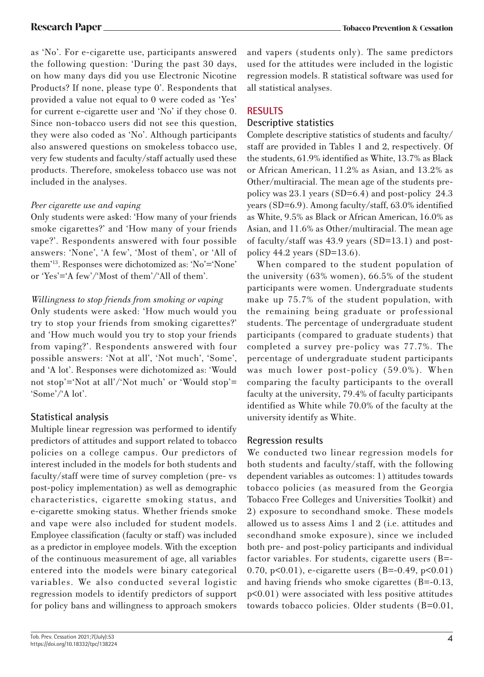as 'No'. For e-cigarette use, participants answered the following question: 'During the past 30 days, on how many days did you use Electronic Nicotine Products? If none, please type 0'. Respondents that provided a value not equal to 0 were coded as 'Yes' for current e-cigarette user and 'No' if they chose 0. Since non-tobacco users did not see this question, they were also coded as 'No'. Although participants also answered questions on smokeless tobacco use, very few students and faculty/staff actually used these products. Therefore, smokeless tobacco use was not included in the analyses.

# *Peer cigarette use and vaping*

Only students were asked: 'How many of your friends smoke cigarettes?' and 'How many of your friends vape?'. Respondents answered with four possible answers: 'None', 'A few', 'Most of them', or 'All of them'13. Responses were dichotomized as: 'No'='None' or 'Yes'='A few'/'Most of them'/'All of them'.

# *Willingness to stop friends from smoking or vaping*

Only students were asked: 'How much would you try to stop your friends from smoking cigarettes?' and 'How much would you try to stop your friends from vaping?'. Respondents answered with four possible answers: 'Not at all', 'Not much', 'Some', and 'A lot'. Responses were dichotomized as: 'Would not stop'='Not at all'/'Not much' or 'Would stop'= 'Some'/'A lot'.

# **Statistical analysis**

Multiple linear regression was performed to identify predictors of attitudes and support related to tobacco policies on a college campus. Our predictors of interest included in the models for both students and faculty/staff were time of survey completion (pre- vs post-policy implementation) as well as demographic characteristics, cigarette smoking status, and e-cigarette smoking status. Whether friends smoke and vape were also included for student models. Employee classification (faculty or staff) was included as a predictor in employee models. With the exception of the continuous measurement of age, all variables entered into the models were binary categorical variables. We also conducted several logistic regression models to identify predictors of support for policy bans and willingness to approach smokers

and vapers (students only). The same predictors used for the attitudes were included in the logistic regression models. R statistical software was used for all statistical analyses.

# **RESULTS**

# **Descriptive statistics**

Complete descriptive statistics of students and faculty/ staff are provided in Tables 1 and 2, respectively. Of the students, 61.9% identified as White, 13.7% as Black or African American, 11.2% as Asian, and 13.2% as Other/multiracial. The mean age of the students prepolicy was 23.1 years (SD=6.4) and post-policy 24.3 years (SD=6.9). Among faculty/staff, 63.0% identified as White, 9.5% as Black or African American, 16.0% as Asian, and 11.6% as Other/multiracial. The mean age of faculty/staff was 43.9 years (SD=13.1) and postpolicy 44.2 years (SD=13.6).

When compared to the student population of the university (63% women), 66.5% of the student participants were women. Undergraduate students make up 75.7% of the student population, with the remaining being graduate or professional students. The percentage of undergraduate student participants (compared to graduate students) that completed a survey pre-policy was 77.7%. The percentage of undergraduate student participants was much lower post-policy (59.0%). When comparing the faculty participants to the overall faculty at the university, 79.4% of faculty participants identified as White while 70.0% of the faculty at the university identify as White.

# **Regression results**

We conducted two linear regression models for both students and faculty/staff, with the following dependent variables as outcomes: 1) attitudes towards tobacco policies (as measured from the Georgia Tobacco Free Colleges and Universities Toolkit) and 2) exposure to secondhand smoke. These models allowed us to assess Aims 1 and 2 (i.e. attitudes and secondhand smoke exposure), since we included both pre- and post-policy participants and individual factor variables. For students, cigarette users (B=- 0.70, p<0.01), e-cigarette users (B=-0.49, p<0.01) and having friends who smoke cigarettes (B=-0.13, p<0.01) were associated with less positive attitudes towards tobacco policies. Older students (B=0.01,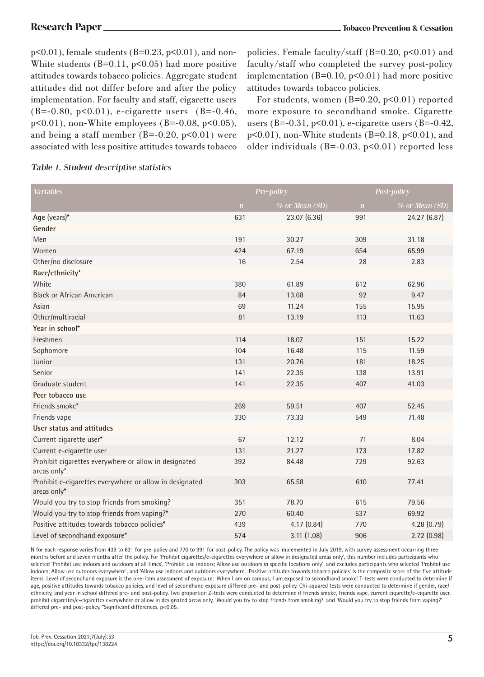p<0.01), female students (B=0.23, p<0.01), and non-White students  $(B=0.11, p<0.05)$  had more positive attitudes towards tobacco policies. Aggregate student attitudes did not differ before and after the policy implementation. For faculty and staff, cigarette users  $(B=-0.80, p<0.01)$ , e-cigarette users (B=-0.46, p<0.01), non-White employees (B=-0.08, p<0.05), and being a staff member  $(B=-0.20, p<0.01)$  were associated with less positive attitudes towards tobacco

policies. Female faculty/staff (B=0.20, p<0.01) and faculty/staff who completed the survey post-policy implementation  $(B=0.10, p<0.01)$  had more positive attitudes towards tobacco policies.

For students, women  $(B=0.20, p<0.01)$  reported more exposure to secondhand smoke. Cigarette users (B=-0.31,  $p<0.01$ ), e-cigarette users (B=-0.42,  $p<0.01$ ), non-White students (B=0.18,  $p<0.01$ ), and older individuals ( $B=-0.03$ ,  $p<0.01$ ) reported less

| <b>Variables</b>                                                       |             | Pre-policy     |              | Post-policy    |
|------------------------------------------------------------------------|-------------|----------------|--------------|----------------|
|                                                                        | $\mathbf n$ | % or Mean (SD) | $\mathbf{n}$ | % or Mean (SD) |
| Age (years)*                                                           | 631         | 23.07 (6.36)   | 991          | 24.27 (6.87)   |
| Gender                                                                 |             |                |              |                |
| Men                                                                    | 191         | 30.27          | 309          | 31.18          |
| Women                                                                  | 424         | 67.19          | 654          | 65.99          |
| Other/no disclosure                                                    | 16          | 2.54           | 28           | 2.83           |
| Race/ethnicity*                                                        |             |                |              |                |
| White                                                                  | 380         | 61.89          | 612          | 62.96          |
| <b>Black or African American</b>                                       | 84          | 13.68          | 92           | 9.47           |
| Asian                                                                  | 69          | 11.24          | 155          | 15.95          |
| Other/multiracial                                                      | 81          | 13.19          | 113          | 11.63          |
| Year in school*                                                        |             |                |              |                |
| Freshmen                                                               | 114         | 18.07          | 151          | 15.22          |
| Sophomore                                                              | 104         | 16.48          | 115          | 11.59          |
| Junior                                                                 | 131         | 20.76          | 181          | 18.25          |
| Senior                                                                 | 141         | 22.35          | 138          | 13.91          |
| Graduate student                                                       | 141         | 22.35          | 407          | 41.03          |
| Peer tobacco use                                                       |             |                |              |                |
| Friends smoke*                                                         | 269         | 59.51          | 407          | 52.45          |
| Friends vape                                                           | 330         | 73.33          | 549          | 71.48          |
| User status and attitudes                                              |             |                |              |                |
| Current cigarette user*                                                | 67          | 12.12          | 71           | 8.04           |
| Current e-cigarette user                                               | 131         | 21.27          | 173          | 17.82          |
| Prohibit cigarettes everywhere or allow in designated<br>areas only*   | 392         | 84.48          | 729          | 92.63          |
| Prohibit e-cigarettes everywhere or allow in designated<br>areas only* | 303         | 65.58          | 610          | 77.41          |
| Would you try to stop friends from smoking?                            | 351         | 78.70          | 615          | 79.56          |
| Would you try to stop friends from vaping?*                            | 270         | 60.40          | 537          | 69.92          |
| Positive attitudes towards tobacco policies*                           | 439         | 4.17(0.84)     | 770          | 4.28(0.79)     |
| Level of secondhand exposure*                                          | 574         | 3.11(1.08)     | 906          | 2.72(0.98)     |

### Table 1. Student descriptive statistics

N for each response varies from 439 to 631 for pre-policy and 770 to 991 for post-policy. The policy was implemented in July 2019, with survey assessment occurring three months before and seven months after the policy. For 'Prohibit cigarettes/e-cigarettes everywhere or allow in designated areas only', this number includes participants who selected 'Prohibit use indoors and outdoors at all times', 'Prohibit use indoors; Allow use outdoors in specific locations only', and excludes participants who selected 'Prohibit use indoors; Allow use outdoors everywhere', and 'Allow use indoors and outdoors everywhere'. 'Positive attitudes towards tobacco policies' is the composite score of the five attitude items. Level of secondhand exposure is the one-item assessment of exposure: 'When I am on campus, I am exposed to secondhand smoke'. T-tests were conducted to determine if age, positive attitudes towards tobacco policies, and level of secondhand exposure differed pre- and post-policy. Chi-squared tests were conducted to determine if gender, race/ ethnicity, and year in school differed pre- and post-policy. Two proportion Z-tests were conducted to determine if friends smoke, friends vape, current cigarette/e-cigarette user, prohibit cigarettes/e-cigarettes everywhere or allow in designated areas only, 'Would you try to stop friends from smoking?' and 'Would you try to stop friends from vaping?' differed pre- and post-policy. \*Significant differences, p<0.05.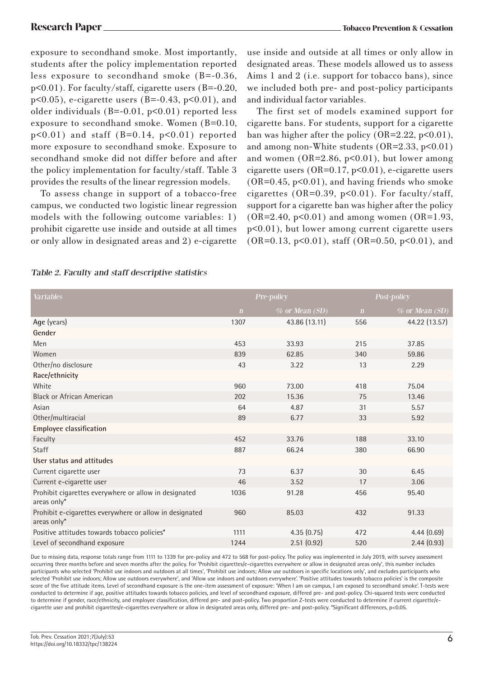exposure to secondhand smoke. Most importantly, students after the policy implementation reported less exposure to secondhand smoke (B=-0.36, p<0.01). For faculty/staff, cigarette users (B=-0.20,  $p<0.05$ ), e-cigarette users (B=-0.43,  $p<0.01$ ), and older individuals  $(B=-0.01, p<0.01)$  reported less exposure to secondhand smoke. Women (B=0.10,  $p<0.01$ ) and staff (B=0.14,  $p<0.01$ ) reported more exposure to secondhand smoke. Exposure to secondhand smoke did not differ before and after the policy implementation for faculty/staff. Table 3 provides the results of the linear regression models.

To assess change in support of a tobacco-free campus, we conducted two logistic linear regression models with the following outcome variables: 1) prohibit cigarette use inside and outside at all times or only allow in designated areas and 2) e-cigarette use inside and outside at all times or only allow in designated areas. These models allowed us to assess Aims 1 and 2 (i.e. support for tobacco bans), since we included both pre- and post-policy participants and individual factor variables.

The first set of models examined support for cigarette bans. For students, support for a cigarette ban was higher after the policy  $(OR=2.22, p<0.01)$ , and among non-White students  $(OR=2.33, p<0.01)$ and women  $(OR=2.86, p<0.01)$ , but lower among cigarette users (OR=0.17, p<0.01), e-cigarette users  $(OR=0.45, p<0.01)$ , and having friends who smoke cigarettes ( $OR=0.39$ ,  $p<0.01$ ). For faculty/staff, support for a cigarette ban was higher after the policy  $(OR=2.40, p<0.01)$  and among women  $(OR=1.93,$ p<0.01), but lower among current cigarette users  $(OR=0.13, p<0.01)$ , staff  $(OR=0.50, p<0.01)$ , and

| <b>Variables</b>                                                       | Pre-policy  |                  | Post-policy  |                |
|------------------------------------------------------------------------|-------------|------------------|--------------|----------------|
|                                                                        | $\mathbf n$ | $%$ or Mean (SD) | $\mathbf{n}$ | % or Mean (SD) |
| Age (years)                                                            | 1307        | 43.86 (13.11)    | 556          | 44.22 (13.57)  |
| Gender                                                                 |             |                  |              |                |
| Men                                                                    | 453         | 33.93            | 215          | 37.85          |
| Women                                                                  | 839         | 62.85            | 340          | 59.86          |
| Other/no disclosure                                                    | 43          | 3.22             | 13           | 2.29           |
| Race/ethnicity                                                         |             |                  |              |                |
| White                                                                  | 960         | 73.00            | 418          | 75.04          |
| Black or African American                                              | 202         | 15.36            | 75           | 13.46          |
| Asian                                                                  | 64          | 4.87             | 31           | 5.57           |
| Other/multiracial                                                      | 89          | 6.77             | 33           | 5.92           |
| <b>Employee classification</b>                                         |             |                  |              |                |
| Faculty                                                                | 452         | 33.76            | 188          | 33.10          |
| <b>Staff</b>                                                           | 887         | 66.24            | 380          | 66.90          |
| User status and attitudes                                              |             |                  |              |                |
| Current cigarette user                                                 | 73          | 6.37             | 30           | 6.45           |
| Current e-cigarette user                                               | 46          | 3.52             | 17           | 3.06           |
| Prohibit cigarettes everywhere or allow in designated<br>areas only*   | 1036        | 91.28            | 456          | 95.40          |
| Prohibit e-cigarettes everywhere or allow in designated<br>areas only* | 960         | 85.03            | 432          | 91.33          |
| Positive attitudes towards tobacco policies*                           | 1111        | 4.35(0.75)       | 472          | 4.44(0.69)     |
| Level of secondhand exposure                                           | 1244        | 2.51(0.92)       | 520          | 2.44(0.93)     |

### Table 2. Faculty and staff descriptive statistics

Due to missing data, response totals range from 1111 to 1339 for pre-policy and 472 to 568 for post-policy. The policy was implemented in July 2019, with survey assessment occurring three months before and seven months after the policy. For 'Prohibit cigarettes/e-cigarettes everywhere or allow in designated areas only', this number includes participants who selected 'Prohibit use indoors and outdoors at all times', 'Prohibit use indoors; Allow use outdoors in specific locations only', and excludes participants who selected 'Prohibit use indoors; Allow use outdoors everywhere', and 'Allow use indoors and outdoors everywhere'. 'Positive attitudes towards tobacco policies' is the composite score of the five attitude items. Level of secondhand exposure is the one-item assessment of exposure: 'When I am on campus, I am exposed to secondhand smoke'. T-tests were conducted to determine if age, positive attitudes towards tobacco policies, and level of secondhand exposure, differed pre- and post-policy. Chi-squared tests were conducted to determine if gender, race/ethnicity, and employee classification, differed pre- and post-policy. Two proportion Z-tests were conducted to determine if current cigarette/ecigarette user and prohibit cigarettes/e-cigarettes everywhere or allow in designated areas only, differed pre- and post-policy. \*Significant differences, p<0.05.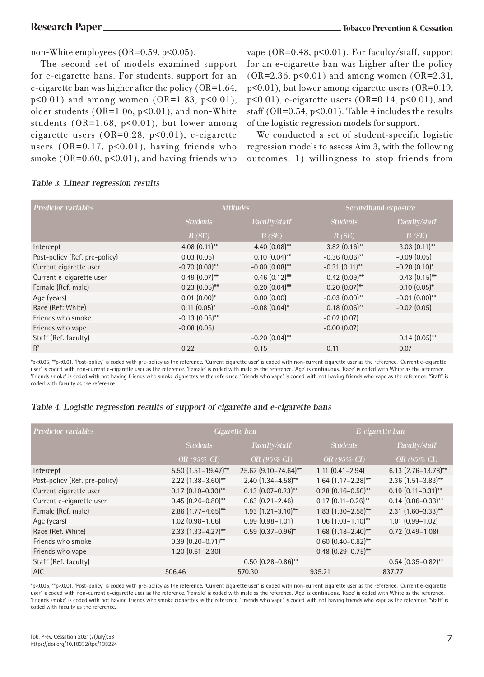non-White employees (OR=0.59, p<0.05).

The second set of models examined support for e-cigarette bans. For students, support for an e-cigarette ban was higher after the policy (OR=1.64,  $p<0.01$ ) and among women (OR=1.83,  $p<0.01$ ), older students ( $OR=1.06$ ,  $p<0.01$ ), and non-White students ( $OR=1.68$ ,  $p<0.01$ ), but lower among cigarette users (OR=0.28, p<0.01), e-cigarette users  $(OR=0.17, p<0.01)$ , having friends who smoke ( $OR=0.60$ ,  $p<0.01$ ), and having friends who vape (OR=0.48, p<0.01). For faculty/staff, support for an e-cigarette ban was higher after the policy  $(OR=2.36, p<0.01)$  and among women  $(OR=2.31,$ p<0.01), but lower among cigarette users (OR=0.19,  $p<0.01$ ), e-cigarette users (OR=0.14,  $p<0.01$ ), and staff ( $OR=0.54$ ,  $p<0.01$ ). Table 4 includes the results of the logistic regression models for support.

We conducted a set of student-specific logistic regression models to assess Aim 3, with the following outcomes: 1) willingness to stop friends from

| <b>Predictor variables</b>    |                  | <b>Attitudes</b> |                  | Secondhand exposure |  |
|-------------------------------|------------------|------------------|------------------|---------------------|--|
|                               | <b>Students</b>  | Faculty/staff    | <b>Students</b>  | Faculty/staff       |  |
|                               | B(SE)            | B(SE)            | B(SE)            | B(SE)               |  |
| Intercept                     | 4.08 $(0.11)$ ** | 4.40 $(0.08)$ ** | $3.82(0.16)$ **  | $3.03(0.11)$ **     |  |
| Post-policy (Ref. pre-policy) | 0.03(0.05)       | $0.10(0.04)$ **  | $-0.36(0.06)$ ** | $-0.09(0.05)$       |  |
| Current cigarette user        | $-0.70(0.08)$ ** | $-0.80(0.08)$ ** | $-0.31(0.11)$ ** | $-0.20(0.10)$ *     |  |
| Current e-cigarette user      | $-0.49(0.07)$ ** | $-0.46(0.12)$ ** | $-0.42$ (0.09)** | $-0.43(0.15)$ **    |  |
| Female (Ref. male)            | $0.23(0.05)$ **  | $0.20(0.04)$ **  | $0.20(0.07)$ **  | $0.10(0.05)^{*}$    |  |
| Age (years)                   | $0.01(0.00)*$    | 0.00(0.00)       | $-0.03(0.00)$ ** | $-0.01$ $(0.00)$ ** |  |
| Race (Ref: White)             | $0.11(0.05)^*$   | $-0.08(0.04)$ *  | $0.18(0.06)$ **  | $-0.02$ (0.05)      |  |
| Friends who smoke             | $-0.13(0.05)$ ** |                  | $-0.02$ (0.07)   |                     |  |
| Friends who vape              | $-0.08(0.05)$    |                  | $-0.00$ $(0.07)$ |                     |  |
| Staff (Ref. faculty)          |                  | $-0.20(0.04)$ ** |                  | $0.14(0.05)$ **     |  |
| $R^2$                         | 0.22             | 0.15             | 0.11             | 0.07                |  |
|                               |                  |                  |                  |                     |  |

### Table 3. Linear regression results

\*p<0.05, \*\*p<0.01. 'Post-policy' is coded with pre-policy as the reference. 'Current cigarette user' is coded with non-current cigarette user as the reference. 'Current e-cigarette user' is coded with non-current e-cigarette user as the reference. 'Female' is coded with male as the reference. 'Age' is continuous. 'Race' is coded with White as the reference. 'Friends smoke' is coded with not having friends who smoke cigarettes as the reference. 'Friends who vape' is coded with not having friends who vape as the reference. 'Staff' is coded with faculty as the reference.

### Table 4. Logistic regression results of support of cigarette and e-cigarette bans

| <b>Predictor variables</b>    | Cigarette ban              |                           | E-cigarette ban                      |                           |
|-------------------------------|----------------------------|---------------------------|--------------------------------------|---------------------------|
|                               | <b>Students</b>            | Faculty/staff             | <b>Students</b>                      | Faculty/staff             |
|                               | OR (95% CI)                | OR (95% CI)               | OR (95% CI)                          | OR (95% CI)               |
| Intercept                     | $5.50$ $(1.51 - 19.47)$ ** | 25.62 (9.10-74.64)**      | $1.11(0.41 - 2.94)$                  | $6.13$ (2.76-13.78)**     |
| Post-policy (Ref. pre-policy) | $2.22$ (1.38-3.60)**       | $2.40(1.34 - 4.58)$ **    | $1.64$ (1.17-2.28)**                 | $2.36$ (1.51-3.83)**      |
| Current cigarette user        | $0.17$ $(0.10 - 0.30)$ **  | $0.13$ $(0.07 - 0.23)$ ** | $0.28$ (0.16-0.50)**                 | $0.19(0.11 - 0.31)$ **    |
| Current e-cigarette user      | $0.45(0.26-0.80)$ **       | $0.63$ $(0.21 - 2.46)$    | $0.17(0.11 - 0.26)$ **               | $0.14$ (0.06-0.33)**      |
| Female (Ref. male)            | $2.86$ (1.77-4.65)**       | $1.93$ $(1.21 - 3.10)$ ** | $1.83$ (1.30-2.58)**                 | $2.31$ $(1.60 - 3.33)$ ** |
| Age (years)                   | $1.02$ $(0.98 - 1.06)$     | $0.99$ $(0.98 - 1.01)$    | $1.06$ $(1.03 - 1.10)$ <sup>**</sup> | $1.01$ $(0.99 - 1.02)$    |
| Race (Ref. White)             | $2.33$ $(1.33 - 4.27)$ **  | $0.59(0.37 - 0.96)^*$     | $1.68$ (1.18-2.40)**                 | $0.72$ $(0.49 - 1.08)$    |
| Friends who smoke             | $0.39$ $(0.20 - 0.71)$ **  |                           | $0.60$ $(0.40 - 0.82)$ **            |                           |
| Friends who vape              | $1.20(0.61 - 2.30)$        |                           | $0.48$ $(0.29 - 0.75)$ **            |                           |
| Staff (Ref. faculty)          |                            | $0.50$ $(0.28 - 0.86)$ ** |                                      | $0.54$ (0.35-0.82)**      |
| AIC.                          | 506.46                     | 570.30                    | 935.21                               | 837.77                    |
|                               |                            |                           |                                      |                           |

\*p<0.05, \*\*p<0.01. 'Post-policy' is coded with pre-policy as the reference. 'Current cigarette user' is coded with non-current cigarette user as the reference. 'Current e-cigarette user' is coded with non-current e-cigarette user as the reference. 'Female' is coded with male as the reference. 'Age' is continuous. 'Race' is coded with White as the reference. 'Friends smoke' is coded with not having friends who smoke cigarettes as the reference. 'Friends who vape' is coded with not having friends who vape as the reference. 'Staff' is coded with faculty as the reference.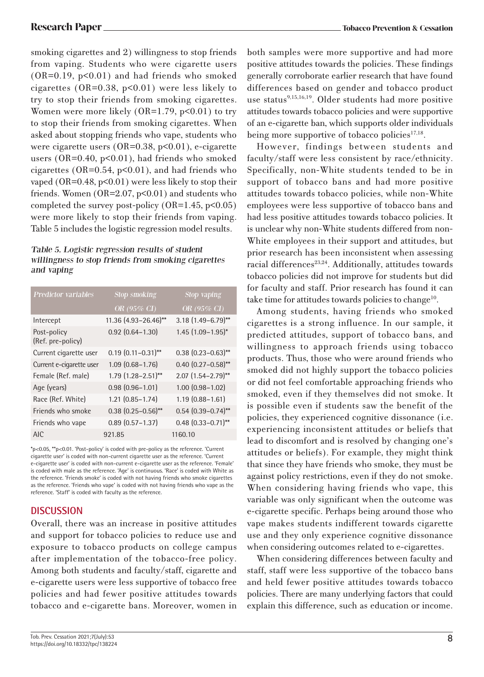smoking cigarettes and 2) willingness to stop friends from vaping. Students who were cigarette users  $(OR=0.19, p<0.01)$  and had friends who smoked cigarettes  $(OR=0.38, p<0.01)$  were less likely to try to stop their friends from smoking cigarettes. Women were more likely  $(OR=1.79, p<0.01)$  to try to stop their friends from smoking cigarettes. When asked about stopping friends who vape, students who were cigarette users  $(OR=0.38, p<0.01)$ , e-cigarette users (OR=0.40, p<0.01), had friends who smoked cigarettes ( $OR=0.54$ ,  $p<0.01$ ), and had friends who vaped (OR=0.48,  $p<0.01$ ) were less likely to stop their friends. Women  $(OR=2.07, p<0.01)$  and students who completed the survey post-policy  $(OR=1.45, p<0.05)$ were more likely to stop their friends from vaping. Table 5 includes the logistic regression model results.

# Table 5. Logistic regression results of student willingness to stop friends from smoking cigarettes and vaping

| <b>Predictor variables</b>       | <b>Stop smoking</b>       | Stop vaping               |  |
|----------------------------------|---------------------------|---------------------------|--|
|                                  | OR (95% CI)               | OR (95% CI)               |  |
| Intercept                        | 11.36 (4.93-26.46)**      | $3.18(1.49 - 6.79)$ **    |  |
| Post-policy<br>(Ref. pre-policy) | $0.92$ $(0.64 - 1.30)$    | $1.45$ $(1.09 - 1.95)^*$  |  |
| Current cigarette user           | $0.19$ $(0.11 - 0.31)$ ** | $0.38$ $(0.23 - 0.63)$ ** |  |
| Current e-cigarette user         | $1.09(0.68 - 1.76)$       | $0.40$ $(0.27 - 0.58)$ ** |  |
| Female (Ref. male)               | $1.79$ $(1.28 - 2.51)$ ** | $2.07$ $(1.54 - 2.79)$ ** |  |
| Age (years)                      | $0.98(0.96 - 1.01)$       | $1.00$ $(0.98 - 1.02)$    |  |
| Race (Ref. White)                | $1.21(0.85 - 1.74)$       | $1.19(0.88 - 1.61)$       |  |
| Friends who smoke                | $0.38$ $(0.25 - 0.56)$ ** | $0.54$ $(0.39 - 0.74)$ ** |  |
| Friends who vape                 | $0.89$ $(0.57 - 1.37)$    | $0.48$ $(0.33 - 0.71)$ ** |  |
| <b>AIC</b>                       | 921.85                    | 1160.10                   |  |

\*p<0.05, \*\*p<0.01. 'Post-policy' is coded with pre-policy as the reference. 'Current cigarette user' is coded with non-current cigarette user as the reference. 'Current e-cigarette user' is coded with non-current e-cigarette user as the reference. 'Female' is coded with male as the reference. 'Age' is continuous. 'Race' is coded with White as the reference. 'Friends smoke' is coded with not having friends who smoke cigarettes as the reference. 'Friends who vape' is coded with not having friends who vape as the reference. 'Staff' is coded with faculty as the reference.

# **DISCUSSION**

Overall, there was an increase in positive attitudes and support for tobacco policies to reduce use and exposure to tobacco products on college campus after implementation of the tobacco-free policy. Among both students and faculty/staff, cigarette and e-cigarette users were less supportive of tobacco free policies and had fewer positive attitudes towards tobacco and e-cigarette bans. Moreover, women in both samples were more supportive and had more positive attitudes towards the policies. These findings generally corroborate earlier research that have found differences based on gender and tobacco product use status<sup>9,15,16,19</sup>. Older students had more positive attitudes towards tobacco policies and were supportive of an e-cigarette ban, which supports older individuals being more supportive of tobacco policies $17,18$ .

However, findings between students and faculty/staff were less consistent by race/ethnicity. Specifically, non-White students tended to be in support of tobacco bans and had more positive attitudes towards tobacco policies, while non-White employees were less supportive of tobacco bans and had less positive attitudes towards tobacco policies. It is unclear why non-White students differed from non-White employees in their support and attitudes, but prior research has been inconsistent when assessing racial differences<sup>23,24</sup>. Additionally, attitudes towards tobacco policies did not improve for students but did for faculty and staff. Prior research has found it can take time for attitudes towards policies to change<sup>10</sup>.

Among students, having friends who smoked cigarettes is a strong influence. In our sample, it predicted attitudes, support of tobacco bans, and willingness to approach friends using tobacco products. Thus, those who were around friends who smoked did not highly support the tobacco policies or did not feel comfortable approaching friends who smoked, even if they themselves did not smoke. It is possible even if students saw the benefit of the policies, they experienced cognitive dissonance (i.e. experiencing inconsistent attitudes or beliefs that lead to discomfort and is resolved by changing one's attitudes or beliefs). For example, they might think that since they have friends who smoke, they must be against policy restrictions, even if they do not smoke. When considering having friends who vape, this variable was only significant when the outcome was e-cigarette specific. Perhaps being around those who vape makes students indifferent towards cigarette use and they only experience cognitive dissonance when considering outcomes related to e-cigarettes.

When considering differences between faculty and staff, staff were less supportive of the tobacco bans and held fewer positive attitudes towards tobacco policies. There are many underlying factors that could explain this difference, such as education or income.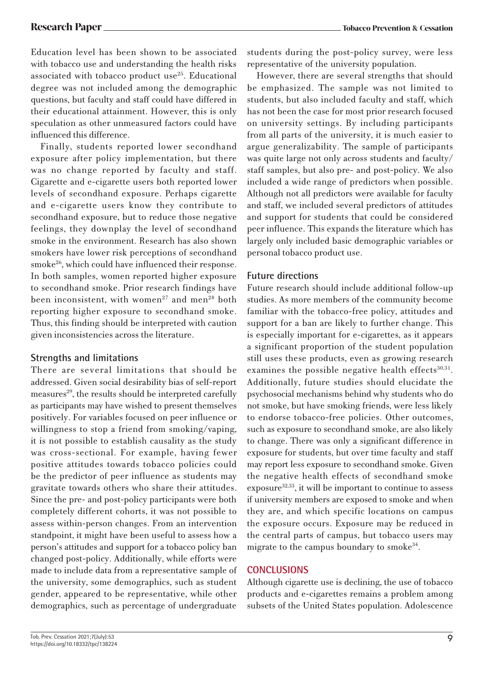Education level has been shown to be associated with tobacco use and understanding the health risks associated with tobacco product use<sup>25</sup>. Educational degree was not included among the demographic questions, but faculty and staff could have differed in their educational attainment. However, this is only speculation as other unmeasured factors could have influenced this difference.

Finally, students reported lower secondhand exposure after policy implementation, but there was no change reported by faculty and staff. Cigarette and e-cigarette users both reported lower levels of secondhand exposure. Perhaps cigarette and e-cigarette users know they contribute to secondhand exposure, but to reduce those negative feelings, they downplay the level of secondhand smoke in the environment. Research has also shown smokers have lower risk perceptions of secondhand smoke<sup>26</sup>, which could have influenced their response. In both samples, women reported higher exposure to secondhand smoke. Prior research findings have been inconsistent, with women<sup>27</sup> and men<sup>28</sup> both reporting higher exposure to secondhand smoke. Thus, this finding should be interpreted with caution given inconsistencies across the literature.

# **Strengths and limitations**

There are several limitations that should be addressed. Given social desirability bias of self-report measures<sup>29</sup>, the results should be interpreted carefully as participants may have wished to present themselves positively. For variables focused on peer influence or willingness to stop a friend from smoking/vaping, it is not possible to establish causality as the study was cross-sectional. For example, having fewer positive attitudes towards tobacco policies could be the predictor of peer influence as students may gravitate towards others who share their attitudes. Since the pre- and post-policy participants were both completely different cohorts, it was not possible to assess within-person changes. From an intervention standpoint, it might have been useful to assess how a person's attitudes and support for a tobacco policy ban changed post-policy. Additionally, while efforts were made to include data from a representative sample of the university, some demographics, such as student gender, appeared to be representative, while other demographics, such as percentage of undergraduate

students during the post-policy survey, were less representative of the university population.

However, there are several strengths that should be emphasized. The sample was not limited to students, but also included faculty and staff, which has not been the case for most prior research focused on university settings. By including participants from all parts of the university, it is much easier to argue generalizability. The sample of participants was quite large not only across students and faculty/ staff samples, but also pre- and post-policy. We also included a wide range of predictors when possible. Although not all predictors were available for faculty and staff, we included several predictors of attitudes and support for students that could be considered peer influence. This expands the literature which has largely only included basic demographic variables or personal tobacco product use.

# **Future directions**

Future research should include additional follow-up studies. As more members of the community become familiar with the tobacco-free policy, attitudes and support for a ban are likely to further change. This is especially important for e-cigarettes, as it appears a significant proportion of the student population still uses these products, even as growing research examines the possible negative health effects<sup>30,31</sup>. Additionally, future studies should elucidate the psychosocial mechanisms behind why students who do not smoke, but have smoking friends, were less likely to endorse tobacco-free policies. Other outcomes, such as exposure to secondhand smoke, are also likely to change. There was only a significant difference in exposure for students, but over time faculty and staff may report less exposure to secondhand smoke. Given the negative health effects of secondhand smoke exposure<sup>32,33</sup>, it will be important to continue to assess if university members are exposed to smoke and when they are, and which specific locations on campus the exposure occurs. Exposure may be reduced in the central parts of campus, but tobacco users may migrate to the campus boundary to smoke<sup>34</sup>.

# **CONCLUSIONS**

Although cigarette use is declining, the use of tobacco products and e-cigarettes remains a problem among subsets of the United States population. Adolescence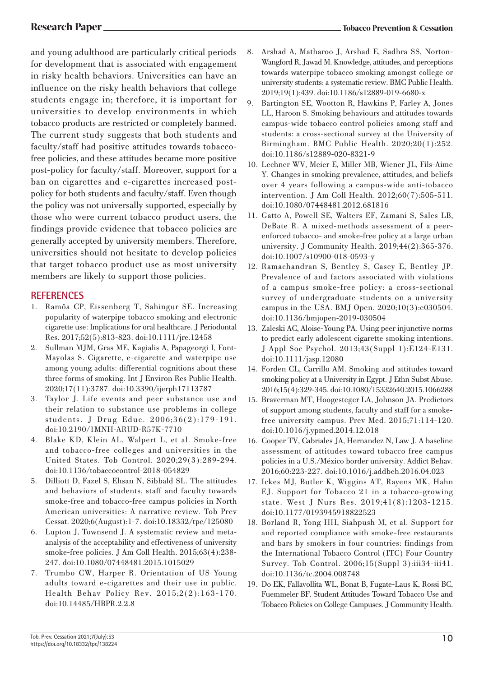and young adulthood are particularly critical periods for development that is associated with engagement in risky health behaviors. Universities can have an influence on the risky health behaviors that college students engage in; therefore, it is important for universities to develop environments in which tobacco products are restricted or completely banned. The current study suggests that both students and faculty/staff had positive attitudes towards tobaccofree policies, and these attitudes became more positive post-policy for faculty/staff. Moreover, support for a ban on cigarettes and e-cigarettes increased postpolicy for both students and faculty/staff. Even though the policy was not universally supported, especially by those who were current tobacco product users, the findings provide evidence that tobacco policies are generally accepted by university members. Therefore, universities should not hesitate to develop policies that target tobacco product use as most university members are likely to support those policies.

### **REFERENCES**

- 1. Ramôa CP, Eissenberg T, Sahingur SE. Increasing popularity of waterpipe tobacco smoking and electronic cigarette use: Implications for oral healthcare. J Periodontal Res. 2017;52(5):813-823. doi:10.1111/jre.12458
- 2. Sullman MJM, Gras ME, Kagialis A, Papageorgi I, Font-Mayolas S. Cigarette, e-cigarette and waterpipe use among young adults: differential cognitions about these three forms of smoking. Int J Environ Res Public Health. 2020;17(11):3787. doi:10.3390/ijerph17113787
- 3. Taylor J. Life events and peer substance use and their relation to substance use problems in college students. J Drug Educ. 2006;36(2):179-191. doi:10.2190/1MNH-ARUD-R57K-7710
- 4. Blake KD, Klein AL, Walpert L, et al. Smoke-free and tobacco-free colleges and universities in the United States. Tob Control. 2020;29(3):289-294. doi:10.1136/tobaccocontrol-2018-054829
- 5. Dilliott D, Fazel S, Ehsan N, Sibbald SL. The attitudes and behaviors of students, staff and faculty towards smoke-free and tobacco-free campus policies in North American universities: A narrative review. Tob Prev Cessat. 2020;6(August):1-7. doi:10.18332/tpc/125080
- 6. Lupton J, Townsend J. A systematic review and metaanalysis of the acceptability and effectiveness of university smoke-free policies. J Am Coll Health. 2015;63(4):238- 247. doi:10.1080/07448481.2015.1015029
- 7. Trumbo CW, Harper R. Orientation of US Young adults toward e-cigarettes and their use in public. Health Behav Policy Rev. 2015;2(2):163-170. doi:10.14485/HBPR.2.2.8
- 8. Arshad A, Matharoo J, Arshad E, Sadhra SS, Norton-Wangford R, Jawad M. Knowledge, attitudes, and perceptions towards waterpipe tobacco smoking amongst college or university students: a systematic review. BMC Public Health. 2019;19(1):439. doi:10.1186/s12889-019-6680-x
- 9. Bartington SE, Wootton R, Hawkins P, Farley A, Jones LL, Haroon S. Smoking behaviours and attitudes towards campus-wide tobacco control policies among staff and students: a cross-sectional survey at the University of Birmingham. BMC Public Health. 2020;20(1):252. doi:10.1186/s12889-020-8321-9
- 10. Lechner WV, Meier E, Miller MB, Wiener JL, Fils-Aime Y. Changes in smoking prevalence, attitudes, and beliefs over 4 years following a campus-wide anti-tobacco intervention. J Am Coll Health. 2012;60(7):505-511. doi:10.1080/07448481.2012.681816
- 11. Gatto A, Powell SE, Walters EF, Zamani S, Sales LB, DeBate R. A mixed-methods assessment of a peerenforced tobacco- and smoke-free policy at a large urban university. J Community Health. 2019;44(2):365-376. doi:10.1007/s10900-018-0593-y
- 12. Ramachandran S, Bentley S, Casey E, Bentley JP. Prevalence of and factors associated with violations of a campus smoke-free policy: a cross-sectional survey of undergraduate students on a university campus in the USA. BMJ Open. 2020;10(3):e030504. doi:10.1136/bmjopen-2019-030504
- 13. Zaleski AC, Aloise-Young PA. Using peer injunctive norms to predict early adolescent cigarette smoking intentions. J Appl Soc Psychol. 2013;43(Suppl 1):E124-E131. doi:10.1111/jasp.12080
- 14. Forden CL, Carrillo AM. Smoking and attitudes toward smoking policy at a University in Egypt. J Ethn Subst Abuse. 2016;15(4):329-345. doi:10.1080/15332640.2015.1066288
- 15. Braverman MT, Hoogesteger LA, Johnson JA. Predictors of support among students, faculty and staff for a smokefree university campus. Prev Med. 2015;71:114-120. doi:10.1016/j.ypmed.2014.12.018
- 16. Cooper TV, Cabriales JA, Hernandez N, Law J. A baseline assessment of attitudes toward tobacco free campus policies in a U.S./México border university. Addict Behav. 2016;60:223-227. doi:10.1016/j.addbeh.2016.04.023
- 17. Ickes MJ, Butler K, Wiggins AT, Rayens MK, Hahn EJ. Support for Tobacco 21 in a tobacco-growing state. West J Nurs Res. 2019;41(8):1203-1215. doi:10.1177/0193945918822523
- 18. Borland R, Yong HH, Siahpush M, et al. Support for and reported compliance with smoke-free restaurants and bars by smokers in four countries: findings from the International Tobacco Control (ITC) Four Country Survey. Tob Control. 2006;15(Suppl 3):iii34-iii41. doi:10.1136/tc.2004.008748
- 19. Do EK, Fallavollita WL, Bonat B, Fugate-Laus K, Rossi BC, Fuemmeler BF. Student Attitudes Toward Tobacco Use and Tobacco Policies on College Campuses. J Community Health.